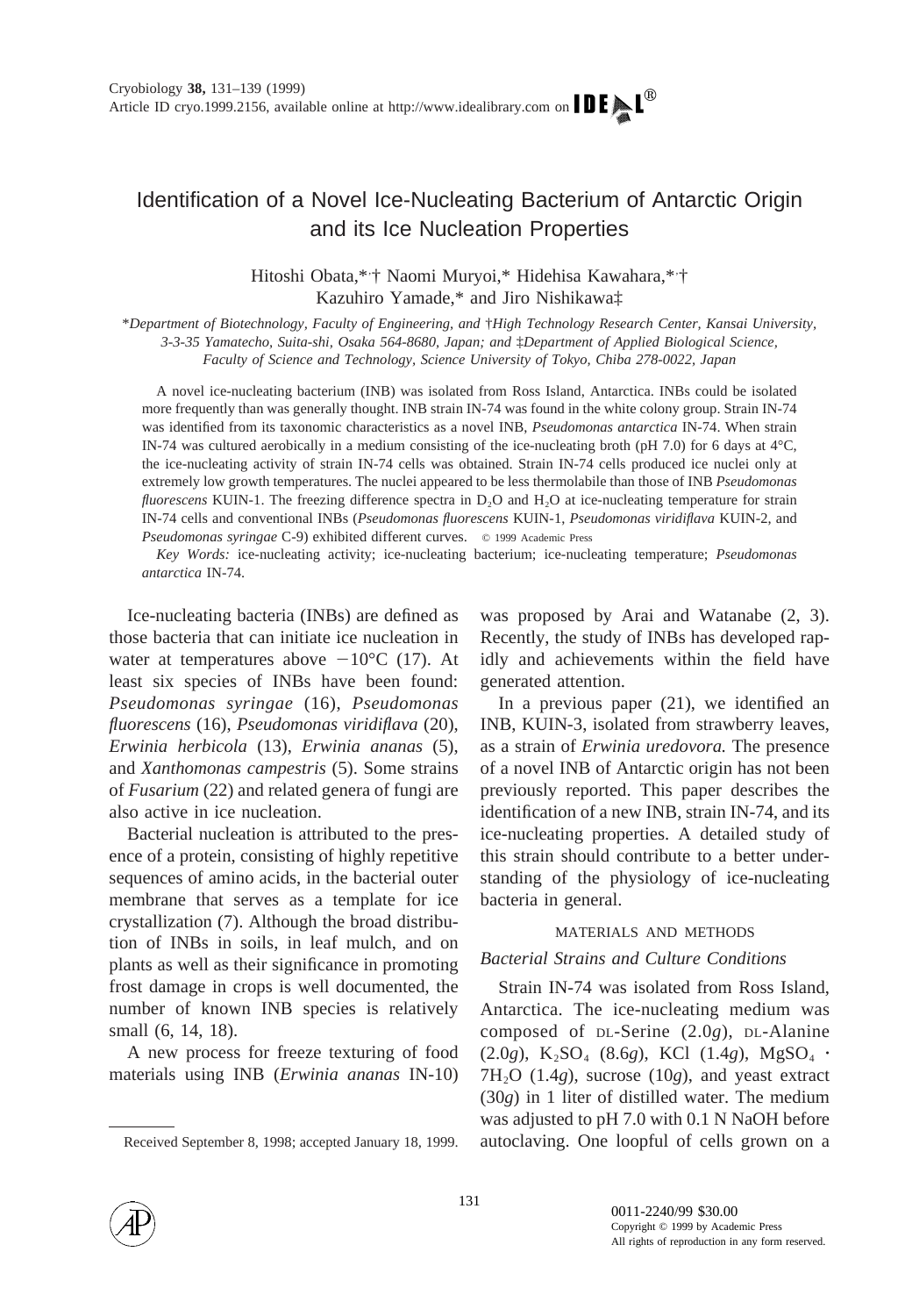# Identification of a Novel Ice-Nucleating Bacterium of Antarctic Origin and its Ice Nucleation Properties

Hitoshi Obata,\*<sup>\*</sup> Naomi Muryoi,\* Hidehisa Kawahara,\*<sup>\*</sup> Kazuhiro Yamade,\* and Jiro Nishikawa‡

\**Department of Biotechnology, Faculty of Engineering, and* †*High Technology Research Center, Kansai University, 3-3-35 Yamatecho, Suita-shi, Osaka 564-8680, Japan; and* ‡*Department of Applied Biological Science, Faculty of Science and Technology, Science University of Tokyo, Chiba 278-0022, Japan*

A novel ice-nucleating bacterium (INB) was isolated from Ross Island, Antarctica. INBs could be isolated more frequently than was generally thought. INB strain IN-74 was found in the white colony group. Strain IN-74 was identified from its taxonomic characteristics as a novel INB, *Pseudomonas antarctica* IN-74. When strain IN-74 was cultured aerobically in a medium consisting of the ice-nucleating broth (pH 7.0) for 6 days at 4°C, the ice-nucleating activity of strain IN-74 cells was obtained. Strain IN-74 cells produced ice nuclei only at extremely low growth temperatures. The nuclei appeared to be less thermolabile than those of INB *Pseudomonas fluorescens* KUIN-1. The freezing difference spectra in D<sub>2</sub>O and H<sub>2</sub>O at ice-nucleating temperature for strain IN-74 cells and conventional INBs (*Pseudomonas fluorescens* KUIN-1, *Pseudomonas viridiflava* KUIN-2, and *Pseudomonas syringae* C-9) exhibited different curves. © 1999 Academic Press

*Key Words:* ice-nucleating activity; ice-nucleating bacterium; ice-nucleating temperature; *Pseudomonas antarctica* IN-74.

Ice-nucleating bacteria (INBs) are defined as those bacteria that can initiate ice nucleation in water at temperatures above  $-10^{\circ}$ C (17). At least six species of INBs have been found: *Pseudomonas syringae* (16), *Pseudomonas fluorescens* (16), *Pseudomonas viridiflava* (20), *Erwinia herbicola* (13), *Erwinia ananas* (5), and *Xanthomonas campestris* (5). Some strains of *Fusarium* (22) and related genera of fungi are also active in ice nucleation.

Bacterial nucleation is attributed to the presence of a protein, consisting of highly repetitive sequences of amino acids, in the bacterial outer membrane that serves as a template for ice crystallization (7). Although the broad distribution of INBs in soils, in leaf mulch, and on plants as well as their significance in promoting frost damage in crops is well documented, the number of known INB species is relatively small (6, 14, 18).

A new process for freeze texturing of food materials using INB (*Erwinia ananas* IN-10) was proposed by Arai and Watanabe (2, 3). Recently, the study of INBs has developed rapidly and achievements within the field have generated attention.

In a previous paper (21), we identified an INB, KUIN-3, isolated from strawberry leaves, as a strain of *Erwinia uredovora.* The presence of a novel INB of Antarctic origin has not been previously reported. This paper describes the identification of a new INB, strain IN-74, and its ice-nucleating properties. A detailed study of this strain should contribute to a better understanding of the physiology of ice-nucleating bacteria in general.

#### MATERIALS AND METHODS

## *Bacterial Strains and Culture Conditions*

Strain IN-74 was isolated from Ross Island, Antarctica. The ice-nucleating medium was composed of DL-Serine (2.0*g*), DL-Alanine  $(2.0g)$ , K<sub>2</sub>SO<sub>4</sub> (8.6*g*), KCl (1.4*g*), MgSO<sub>4</sub> ·  $7H<sub>2</sub>O$  (1.4*g*), sucrose (10*g*), and yeast extract (30*g*) in 1 liter of distilled water. The medium was adjusted to pH 7.0 with 0.1 N NaOH before Received September 8, 1998; accepted January 18, 1999. autoclaving. One loopful of cells grown on a

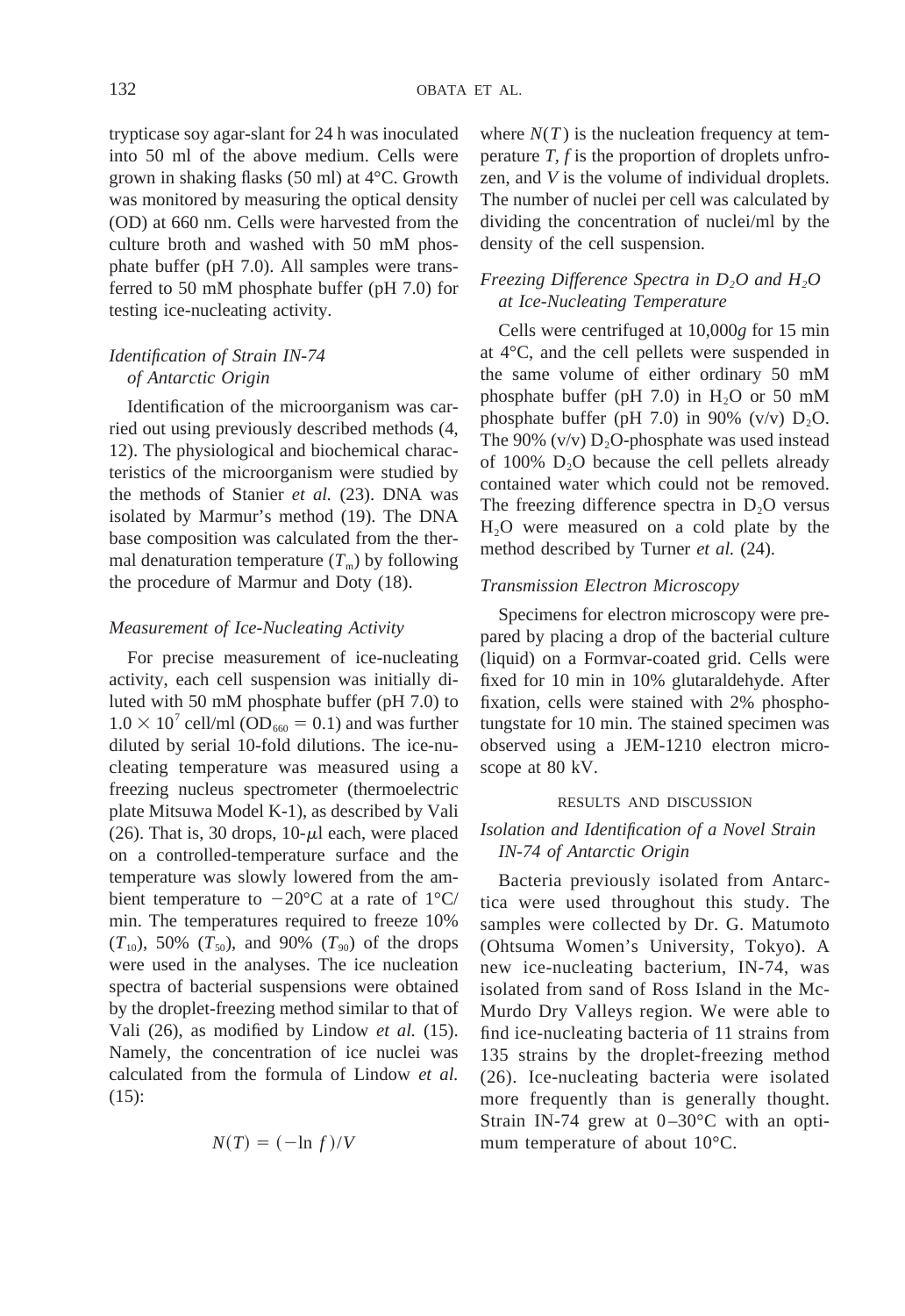trypticase soy agar-slant for 24 h was inoculated into 50 ml of the above medium. Cells were grown in shaking flasks (50 ml) at 4°C. Growth was monitored by measuring the optical density (OD) at 660 nm. Cells were harvested from the culture broth and washed with 50 mM phosphate buffer (pH 7.0). All samples were transferred to 50 mM phosphate buffer (pH 7.0) for testing ice-nucleating activity.

# *Identification of Strain IN-74 of Antarctic Origin*

Identification of the microorganism was carried out using previously described methods (4, 12). The physiological and biochemical characteristics of the microorganism were studied by the methods of Stanier *et al.* (23). DNA was isolated by Marmur's method (19). The DNA base composition was calculated from the thermal denaturation temperature  $(T<sub>m</sub>)$  by following the procedure of Marmur and Doty (18).

## *Measurement of Ice-Nucleating Activity*

For precise measurement of ice-nucleating activity, each cell suspension was initially diluted with 50 mM phosphate buffer (pH 7.0) to  $1.0 \times 10^7$  cell/ml (OD<sub>660</sub> = 0.1) and was further diluted by serial 10-fold dilutions. The ice-nucleating temperature was measured using a freezing nucleus spectrometer (thermoelectric plate Mitsuwa Model K-1), as described by Vali (26). That is, 30 drops,  $10-\mu l$  each, were placed on a controlled-temperature surface and the temperature was slowly lowered from the ambient temperature to  $-20^{\circ}$ C at a rate of  $1^{\circ}$ C/ min. The temperatures required to freeze 10%  $(T_{10})$ , 50%  $(T_{50})$ , and 90%  $(T_{90})$  of the drops were used in the analyses. The ice nucleation spectra of bacterial suspensions were obtained by the droplet-freezing method similar to that of Vali (26), as modified by Lindow *et al.* (15). Namely, the concentration of ice nuclei was calculated from the formula of Lindow *et al.* (15):

$$
N(T) = (-\ln f)/V
$$

where  $N(T)$  is the nucleation frequency at temperature *T, f* is the proportion of droplets unfrozen, and *V* is the volume of individual droplets. The number of nuclei per cell was calculated by dividing the concentration of nuclei/ml by the density of the cell suspension.

# *Freezing Difference Spectra in D<sub>2</sub>O and H<sub>2</sub>O at Ice-Nucleating Temperature*

Cells were centrifuged at 10,000*g* for 15 min at 4°C, and the cell pellets were suspended in the same volume of either ordinary 50 mM phosphate buffer (pH 7.0) in  $H_2O$  or 50 mM phosphate buffer (pH 7.0) in 90% (v/v)  $D_2O$ . The 90%  $(v/v) D_2O$ -phosphate was used instead of 100%  $D_2O$  because the cell pellets already contained water which could not be removed. The freezing difference spectra in  $D_2O$  versus H2O were measured on a cold plate by the method described by Turner *et al.* (24).

## *Transmission Electron Microscopy*

Specimens for electron microscopy were prepared by placing a drop of the bacterial culture (liquid) on a Formvar-coated grid. Cells were fixed for 10 min in 10% glutaraldehyde. After fixation, cells were stained with 2% phosphotungstate for 10 min. The stained specimen was observed using a JEM-1210 electron microscope at 80 kV.

#### RESULTS AND DISCUSSION

## *Isolation and Identification of a Novel Strain IN-74 of Antarctic Origin*

Bacteria previously isolated from Antarctica were used throughout this study. The samples were collected by Dr. G. Matumoto (Ohtsuma Women's University, Tokyo). A new ice-nucleating bacterium, IN-74, was isolated from sand of Ross Island in the Mc-Murdo Dry Valleys region. We were able to find ice-nucleating bacteria of 11 strains from 135 strains by the droplet-freezing method (26). Ice-nucleating bacteria were isolated more frequently than is generally thought. Strain IN-74 grew at 0–30°C with an optimum temperature of about 10°C.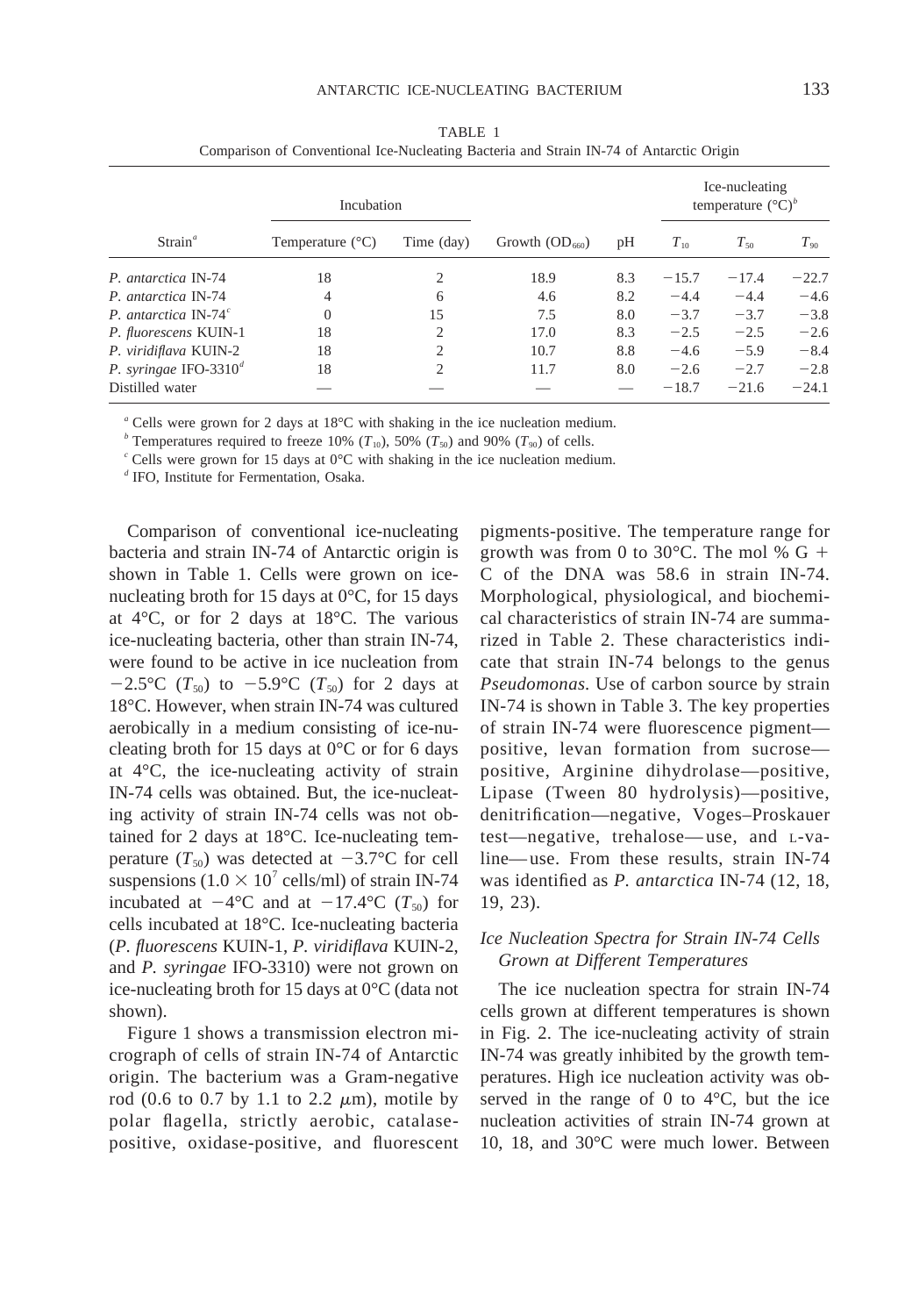| Strain <sup>a</sup>               | Incubation                |                |                  |     | Ice-nucleating<br>temperature $({}^{\circ}C)^b$ |          |           |
|-----------------------------------|---------------------------|----------------|------------------|-----|-------------------------------------------------|----------|-----------|
|                                   | Temperature $(^{\circ}C)$ | Time (day)     | Growth $OD_{60}$ | pH  | $T_{10}$                                        | $T_{50}$ | $T_{.90}$ |
| P. antarctica IN-74               | 18                        | 2              | 18.9             | 8.3 | $-15.7$                                         | $-17.4$  | $-22.7$   |
| P. antarctica IN-74               | $\overline{4}$            | 6              | 4.6              | 8.2 | $-4.4$                                          | $-4.4$   | $-4.6$    |
| P. antarctica IN-74 $\textdegree$ | $\overline{0}$            | 15             | 7.5              | 8.0 | $-3.7$                                          | $-3.7$   | $-3.8$    |
| P. fluorescens KUIN-1             | 18                        | $\overline{c}$ | 17.0             | 8.3 | $-2.5$                                          | $-2.5$   | $-2.6$    |
| P. viridiflava KUIN-2             | 18                        | $\overline{c}$ | 10.7             | 8.8 | $-4.6$                                          | $-5.9$   | $-8.4$    |
| P. syringae IFO-3310 $^d$         | 18                        | $\overline{c}$ | 11.7             | 8.0 | $-2.6$                                          | $-2.7$   | $-2.8$    |
| Distilled water                   |                           |                |                  |     | $-18.7$                                         | $-21.6$  | $-24.1$   |

TABLE 1 Comparison of Conventional Ice-Nucleating Bacteria and Strain IN-74 of Antarctic Origin

*<sup>a</sup>* Cells were grown for 2 days at 18°C with shaking in the ice nucleation medium.

<sup>*b*</sup> Temperatures required to freeze 10% ( $T_{10}$ ), 50% ( $T_{50}$ ) and 90% ( $T_{90}$ ) of cells.

*<sup>c</sup>* Cells were grown for 15 days at 0°C with shaking in the ice nucleation medium.

*<sup>d</sup>* IFO, Institute for Fermentation, Osaka.

Comparison of conventional ice-nucleating bacteria and strain IN-74 of Antarctic origin is shown in Table 1. Cells were grown on icenucleating broth for 15 days at 0°C, for 15 days at 4°C, or for 2 days at 18°C. The various ice-nucleating bacteria, other than strain IN-74, were found to be active in ice nucleation from  $-2.5$ °C ( $T_{50}$ ) to  $-5.9$ °C ( $T_{50}$ ) for 2 days at 18°C. However, when strain IN-74 was cultured aerobically in a medium consisting of ice-nucleating broth for 15 days at  $0^{\circ}$ C or for 6 days at 4°C, the ice-nucleating activity of strain IN-74 cells was obtained. But, the ice-nucleating activity of strain IN-74 cells was not obtained for 2 days at 18°C. Ice-nucleating temperature  $(T_{50})$  was detected at  $-3.7$ °C for cell suspensions (1.0  $\times$  10<sup>7</sup> cells/ml) of strain IN-74 incubated at  $-4$ °C and at  $-17.4$ °C ( $T_{50}$ ) for cells incubated at 18°C. Ice-nucleating bacteria (*P. fluorescens* KUIN-1, *P. viridiflava* KUIN-2, and *P. syringae* IFO-3310) were not grown on ice-nucleating broth for 15 days at 0°C (data not shown).

Figure 1 shows a transmission electron micrograph of cells of strain IN-74 of Antarctic origin. The bacterium was a Gram-negative rod (0.6 to 0.7 by 1.1 to 2.2  $\mu$ m), motile by polar flagella, strictly aerobic, catalasepositive, oxidase-positive, and fluorescent pigments-positive. The temperature range for growth was from 0 to 30 $^{\circ}$ C. The mol % G + C of the DNA was 58.6 in strain IN-74. Morphological, physiological, and biochemical characteristics of strain IN-74 are summarized in Table 2. These characteristics indicate that strain IN-74 belongs to the genus *Pseudomonas.* Use of carbon source by strain IN-74 is shown in Table 3. The key properties of strain IN-74 were fluorescence pigment positive, levan formation from sucrose positive, Arginine dihydrolase—positive, Lipase (Tween 80 hydrolysis)—positive, denitrification—negative, Voges–Proskauer test—negative, trehalose—use, and L-valine—use. From these results, strain IN-74 was identified as *P. antarctica* IN-74 (12, 18, 19, 23).

## *Ice Nucleation Spectra for Strain IN-74 Cells Grown at Different Temperatures*

The ice nucleation spectra for strain IN-74 cells grown at different temperatures is shown in Fig. 2. The ice-nucleating activity of strain IN-74 was greatly inhibited by the growth temperatures. High ice nucleation activity was observed in the range of 0 to  $4^{\circ}$ C, but the ice nucleation activities of strain IN-74 grown at 10, 18, and 30°C were much lower. Between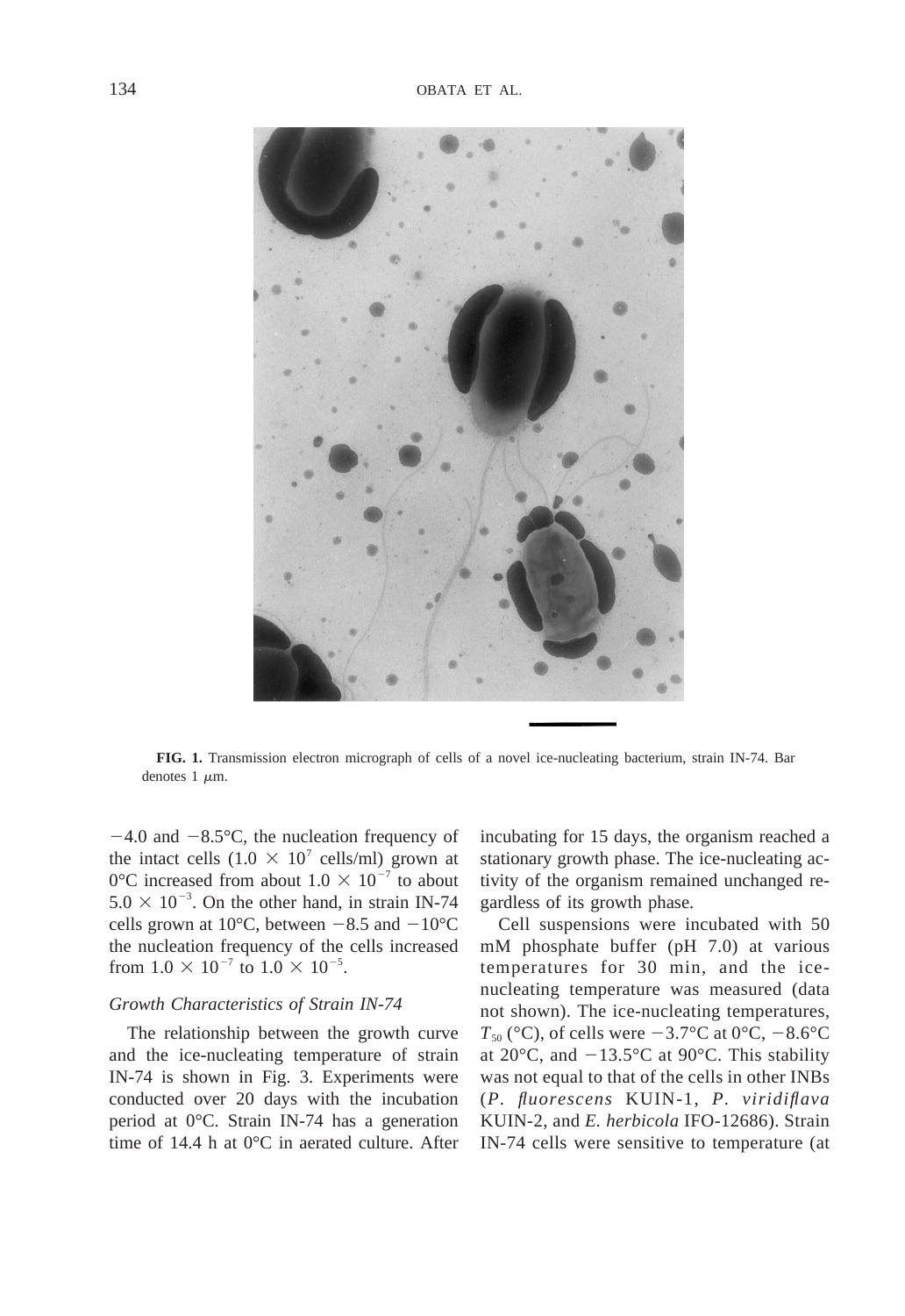

**FIG. 1.** Transmission electron micrograph of cells of a novel ice-nucleating bacterium, strain IN-74. Bar denotes  $1 \mu m$ .

 $-4.0$  and  $-8.5$ °C, the nucleation frequency of the intact cells  $(1.0 \times 10^7 \text{ cells/ml})$  grown at 0°C increased from about  $1.0 \times 10^{-7}$  to about  $5.0 \times 10^{-3}$ . On the other hand, in strain IN-74 cells grown at 10 $^{\circ}$ C, between  $-8.5$  and  $-10^{\circ}$ C the nucleation frequency of the cells increased from  $1.0 \times 10^{-7}$  to  $1.0 \times 10^{-5}$ .

#### *Growth Characteristics of Strain IN-74*

The relationship between the growth curve and the ice-nucleating temperature of strain IN-74 is shown in Fig. 3. Experiments were conducted over 20 days with the incubation period at 0°C. Strain IN-74 has a generation time of 14.4 h at 0°C in aerated culture. After incubating for 15 days, the organism reached a stationary growth phase. The ice-nucleating activity of the organism remained unchanged regardless of its growth phase.

Cell suspensions were incubated with 50 mM phosphate buffer (pH 7.0) at various temperatures for 30 min, and the icenucleating temperature was measured (data not shown). The ice-nucleating temperatures,  $T_{50}$  (°C), of cells were  $-3.7$ °C at 0°C,  $-8.6$ °C at 20 $\degree$ C, and  $-13.5\degree$ C at 90 $\degree$ C. This stability was not equal to that of the cells in other INBs (*P. fluorescens* KUIN-1, *P. viridiflava* KUIN-2, and *E. herbicola* IFO-12686). Strain IN-74 cells were sensitive to temperature (at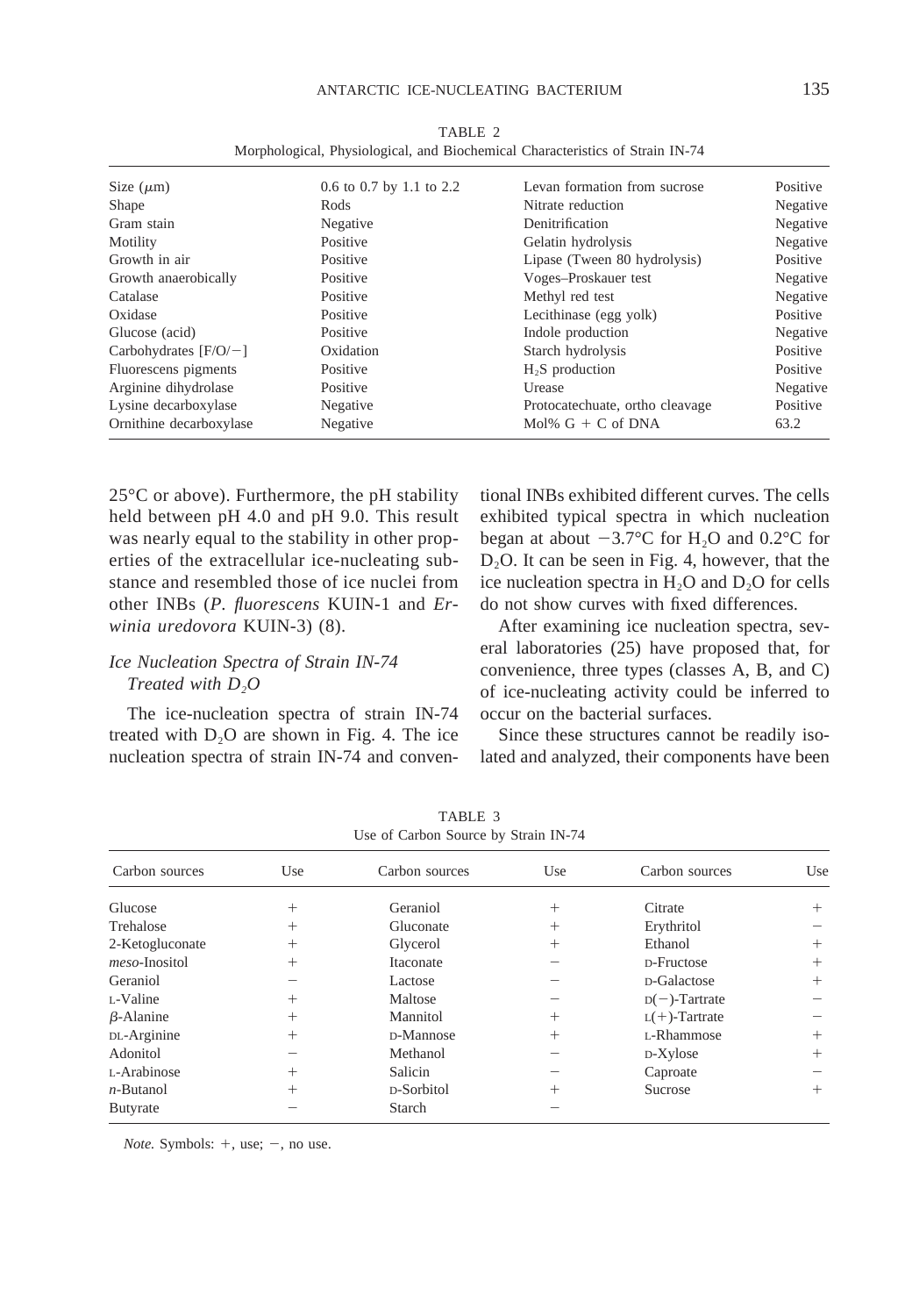| Size $(\mu m)$          | 0.6 to 0.7 by 1.1 to 2.2 | Levan formation from sucrose    | Positive |
|-------------------------|--------------------------|---------------------------------|----------|
| Shape                   | Rods                     | Nitrate reduction               | Negative |
| Gram stain              | Negative                 | Denitrification                 | Negative |
| Motility                | Positive                 | Gelatin hydrolysis              | Negative |
| Growth in air           | Positive                 | Lipase (Tween 80 hydrolysis)    | Positive |
| Growth anaerobically    | Positive                 | Voges-Proskauer test            | Negative |
| Catalase                | Positive                 | Methyl red test                 | Negative |
| Oxidase                 | Positive                 | Lecithinase (egg yolk)          | Positive |
| Glucose (acid)          | Positive                 | Indole production               | Negative |
| Carbohydrates $[F/O/-]$ | Oxidation                | Starch hydrolysis               | Positive |
| Fluorescens pigments    | Positive                 | $H2S$ production                | Positive |
| Arginine dihydrolase    | Positive                 | Urease                          | Negative |
| Lysine decarboxylase    | Negative                 | Protocatechuate, ortho cleavage | Positive |
| Ornithine decarboxylase | Negative                 | Mol% $G + C$ of DNA             | 63.2     |

TABLE 2 Morphological, Physiological, and Biochemical Characteristics of Strain IN-74

25°C or above). Furthermore, the pH stability held between pH 4.0 and pH 9.0. This result was nearly equal to the stability in other properties of the extracellular ice-nucleating substance and resembled those of ice nuclei from other INBs (*P. fluorescens* KUIN-1 and *Erwinia uredovora* KUIN-3) (8).

# *Ice Nucleation Spectra of Strain IN-74 Treated with D2O*

The ice-nucleation spectra of strain IN-74 treated with  $D_2O$  are shown in Fig. 4. The ice nucleation spectra of strain IN-74 and conventional INBs exhibited different curves. The cells exhibited typical spectra in which nucleation began at about  $-3.7$ °C for H<sub>2</sub>O and 0.2°C for D2O. It can be seen in Fig. 4, however, that the ice nucleation spectra in  $H_2O$  and  $D_2O$  for cells do not show curves with fixed differences.

After examining ice nucleation spectra, several laboratories (25) have proposed that, for convenience, three types (classes A, B, and C) of ice-nucleating activity could be inferred to occur on the bacterial surfaces.

Since these structures cannot be readily isolated and analyzed, their components have been

| Carbon sources   | Use    | Carbon sources | Use    | Carbon sources   | Use    |
|------------------|--------|----------------|--------|------------------|--------|
| Glucose          | $^{+}$ | Geraniol       | $^+$   | Citrate          | $^{+}$ |
| Trehalose        | $^{+}$ | Gluconate      | $^{+}$ | Erythritol       |        |
| 2-Ketogluconate  | $^{+}$ | Glycerol       | $+$    | Ethanol          | $^{+}$ |
| meso-Inositol    | $^{+}$ | Itaconate      |        | D-Fructose       | $^+$   |
| Geraniol         |        | Lactose        |        | D-Galactose      | $^{+}$ |
| L-Valine         | $^{+}$ | Maltose        |        | $D(-)$ -Tartrate |        |
| $\beta$ -Alanine | $^+$   | Mannitol       | $^{+}$ | $L(+)$ -Tartrate |        |
| DL-Arginine      | $^{+}$ | D-Mannose      | $+$    | L-Rhammose       | $^{+}$ |
| Adonitol         |        | Methanol       |        | D-Xylose         | $^{+}$ |
| L-Arabinose      | $^{+}$ | Salicin        |        | Caproate         |        |
| $n$ -Butanol     | $^{+}$ | D-Sorbitol     | $^{+}$ | Sucrose          | $^+$   |
| <b>Butyrate</b>  |        | Starch         |        |                  |        |

TABLE 3 Use of Carbon Source by Strain IN-74

*Note.* Symbols:  $+$ , use;  $-$ , no use.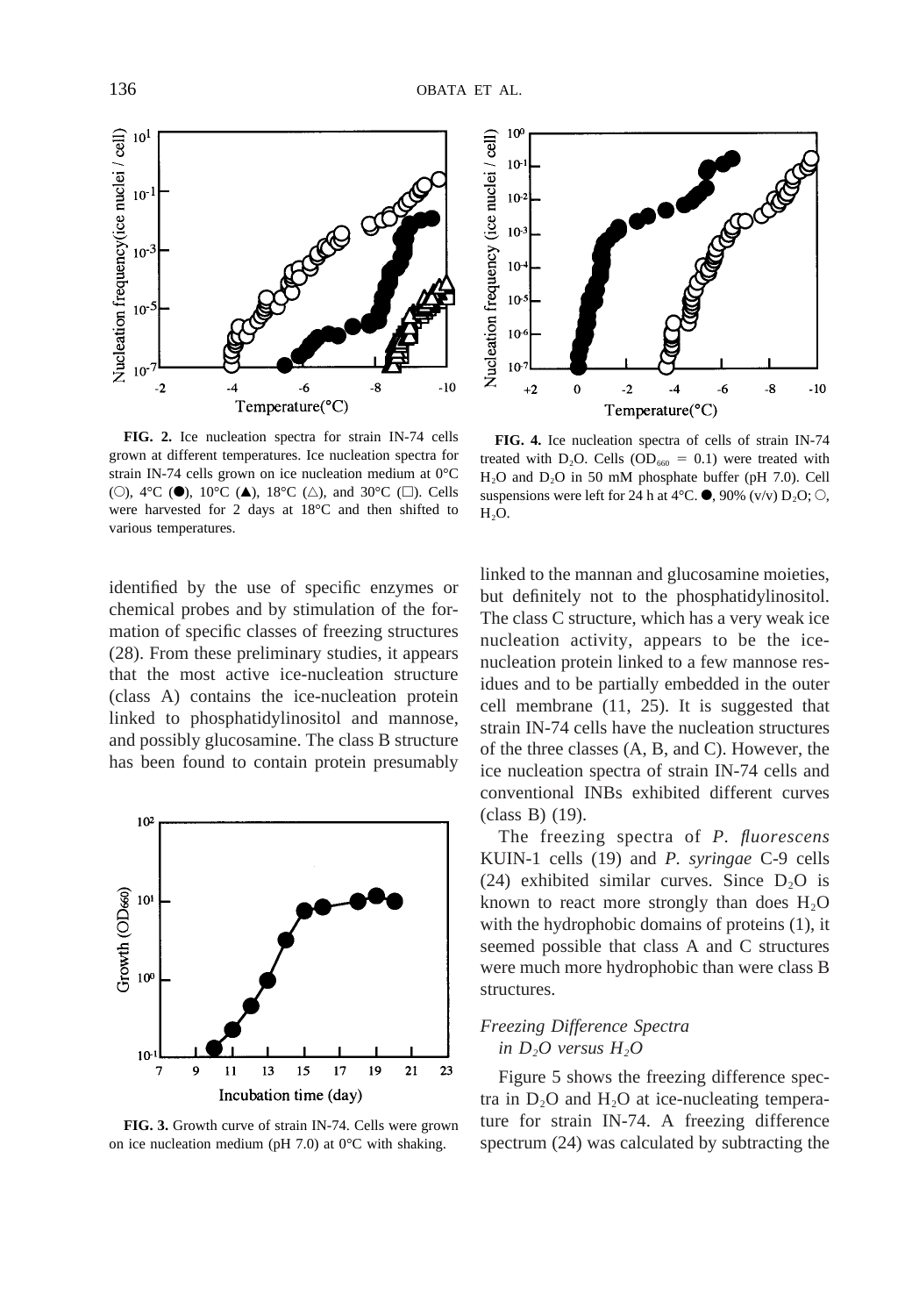

**FIG. 2.** Ice nucleation spectra for strain IN-74 cells grown at different temperatures. Ice nucleation spectra for strain IN-74 cells grown on ice nucleation medium at 0°C (O), 4°C ( $\bullet$ ), 10°C ( $\blacktriangle$ ), 18°C ( $\triangle$ ), and 30°C ( $\square$ ). Cells were harvested for 2 days at 18°C and then shifted to various temperatures.

identified by the use of specific enzymes or chemical probes and by stimulation of the formation of specific classes of freezing structures (28). From these preliminary studies, it appears that the most active ice-nucleation structure (class A) contains the ice-nucleation protein linked to phosphatidylinositol and mannose, and possibly glucosamine. The class B structure has been found to contain protein presumably



**FIG. 3.** Growth curve of strain IN-74. Cells were grown on ice nucleation medium (pH 7.0) at  $0^{\circ}$ C with shaking.



**FIG. 4.** Ice nucleation spectra of cells of strain IN-74 treated with  $D_2O$ . Cells (OD<sub>660</sub> = 0.1) were treated with H2O and D2O in 50 mM phosphate buffer (pH 7.0). Cell suspensions were left for 24 h at 4 $\degree$ C.  $\bullet$ , 90% (v/v) D<sub>2</sub>O;  $\circ$ ,  $H<sub>2</sub>O$ .

linked to the mannan and glucosamine moieties, but definitely not to the phosphatidylinositol. The class C structure, which has a very weak ice nucleation activity, appears to be the icenucleation protein linked to a few mannose residues and to be partially embedded in the outer cell membrane (11, 25). It is suggested that strain IN-74 cells have the nucleation structures of the three classes (A, B, and C). However, the ice nucleation spectra of strain IN-74 cells and conventional INBs exhibited different curves (class B) (19).

The freezing spectra of *P. fluorescens* KUIN-1 cells (19) and *P. syringae* C-9 cells (24) exhibited similar curves. Since  $D_2O$  is known to react more strongly than does  $H_2O$ with the hydrophobic domains of proteins (1), it seemed possible that class A and C structures were much more hydrophobic than were class B structures.

# *Freezing Difference Spectra in D<sub>2</sub>O* versus  $H_2O$

Figure 5 shows the freezing difference spectra in  $D_2O$  and  $H_2O$  at ice-nucleating temperature for strain IN-74. A freezing difference spectrum (24) was calculated by subtracting the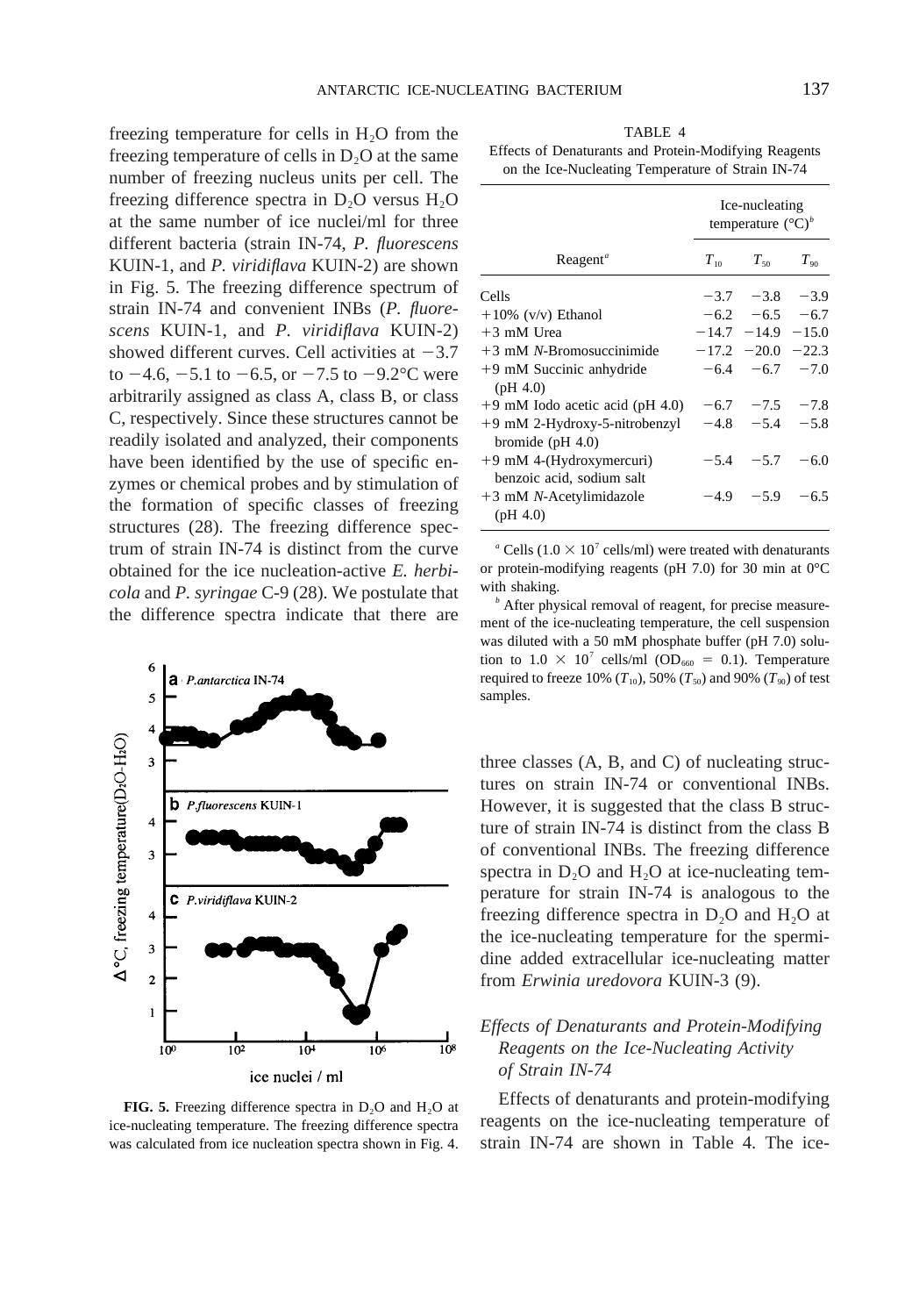freezing temperature for cells in  $H_2O$  from the freezing temperature of cells in  $D_2O$  at the same number of freezing nucleus units per cell. The freezing difference spectra in  $D_2O$  versus  $H_2O$ at the same number of ice nuclei/ml for three different bacteria (strain IN-74, *P. fluorescens* KUIN-1, and *P. viridiflava* KUIN-2) are shown in Fig. 5. The freezing difference spectrum of strain IN-74 and convenient INBs (*P. fluorescens* KUIN-1, and *P. viridiflava* KUIN-2) showed different curves. Cell activities at  $-3.7$ to  $-4.6$ ,  $-5.1$  to  $-6.5$ , or  $-7.5$  to  $-9.2$ °C were arbitrarily assigned as class A, class B, or class C, respectively. Since these structures cannot be readily isolated and analyzed, their components have been identified by the use of specific enzymes or chemical probes and by stimulation of the formation of specific classes of freezing structures (28). The freezing difference spectrum of strain IN-74 is distinct from the curve obtained for the ice nucleation-active *E. herbicola* and *P. syringae* C-9 (28). We postulate that the difference spectra indicate that there are



FIG. 5. Freezing difference spectra in D<sub>2</sub>O and H<sub>2</sub>O at ice-nucleating temperature. The freezing difference spectra was calculated from ice nucleation spectra shown in Fig. 4.

TABLE 4 Effects of Denaturants and Protein-Modifying Reagents on the Ice-Nucleating Temperature of Strain IN-74

|                                                       | Ice-nucleating<br>temperature $({}^{\circ}C)^b$ |                         |                |
|-------------------------------------------------------|-------------------------------------------------|-------------------------|----------------|
| $Reagent^a$                                           | $T_{10}$                                        | $T_{50}$                | $T_{\alpha 0}$ |
| Cells                                                 |                                                 | $-3.7$ $-3.8$ $-3.9$    |                |
| $+10\%$ (v/v) Ethanol                                 |                                                 | $-6.2$ $-6.5$ $-6.7$    |                |
| $+3$ mM Urea                                          |                                                 | $-14.7$ $-14.9$ $-15.0$ |                |
| $+3$ mM N-Bromosuccinimide                            |                                                 | $-17.2$ $-20.0$ $-22.3$ |                |
| +9 mM Succinic anhydride<br>(pH 4.0)                  |                                                 | $-6.4$ $-6.7$ $-7.0$    |                |
| $+9$ mM Iodo acetic acid (pH 4.0)                     |                                                 | $-6.7$ $-7.5$ $-7.8$    |                |
| +9 mM 2-Hydroxy-5-nitrobenzyl<br>bromide ( $pH$ 4.0)  |                                                 | $-4.8$ $-5.4$ $-5.8$    |                |
| +9 mM 4-(Hydroxymercuri)<br>benzoic acid, sodium salt |                                                 | $-5.4$ $-5.7$           | $-6.0$         |
| $+3$ mM N-Acetylimidazole<br>(pH 4.0)                 |                                                 | $-4.9$ $-5.9$           | $-6.5$         |

<sup>*a*</sup> Cells (1.0  $\times$  10<sup>7</sup> cells/ml) were treated with denaturants or protein-modifying reagents (pH 7.0) for 30 min at 0°C with shaking.

*<sup>b</sup>* After physical removal of reagent, for precise measurement of the ice-nucleating temperature, the cell suspension was diluted with a 50 mM phosphate buffer (pH 7.0) solution to  $1.0 \times 10^7$  cells/ml (OD<sub>660</sub> = 0.1). Temperature required to freeze 10%  $(T_{10})$ , 50%  $(T_{50})$  and 90%  $(T_{90})$  of test samples.

three classes (A, B, and C) of nucleating structures on strain IN-74 or conventional INBs. However, it is suggested that the class B structure of strain IN-74 is distinct from the class B of conventional INBs. The freezing difference spectra in  $D_2O$  and  $H_2O$  at ice-nucleating temperature for strain IN-74 is analogous to the freezing difference spectra in  $D_2O$  and  $H_2O$  at the ice-nucleating temperature for the spermidine added extracellular ice-nucleating matter from *Erwinia uredovora* KUIN-3 (9).

# *Effects of Denaturants and Protein-Modifying Reagents on the Ice-Nucleating Activity of Strain IN-74*

Effects of denaturants and protein-modifying reagents on the ice-nucleating temperature of strain IN-74 are shown in Table 4. The ice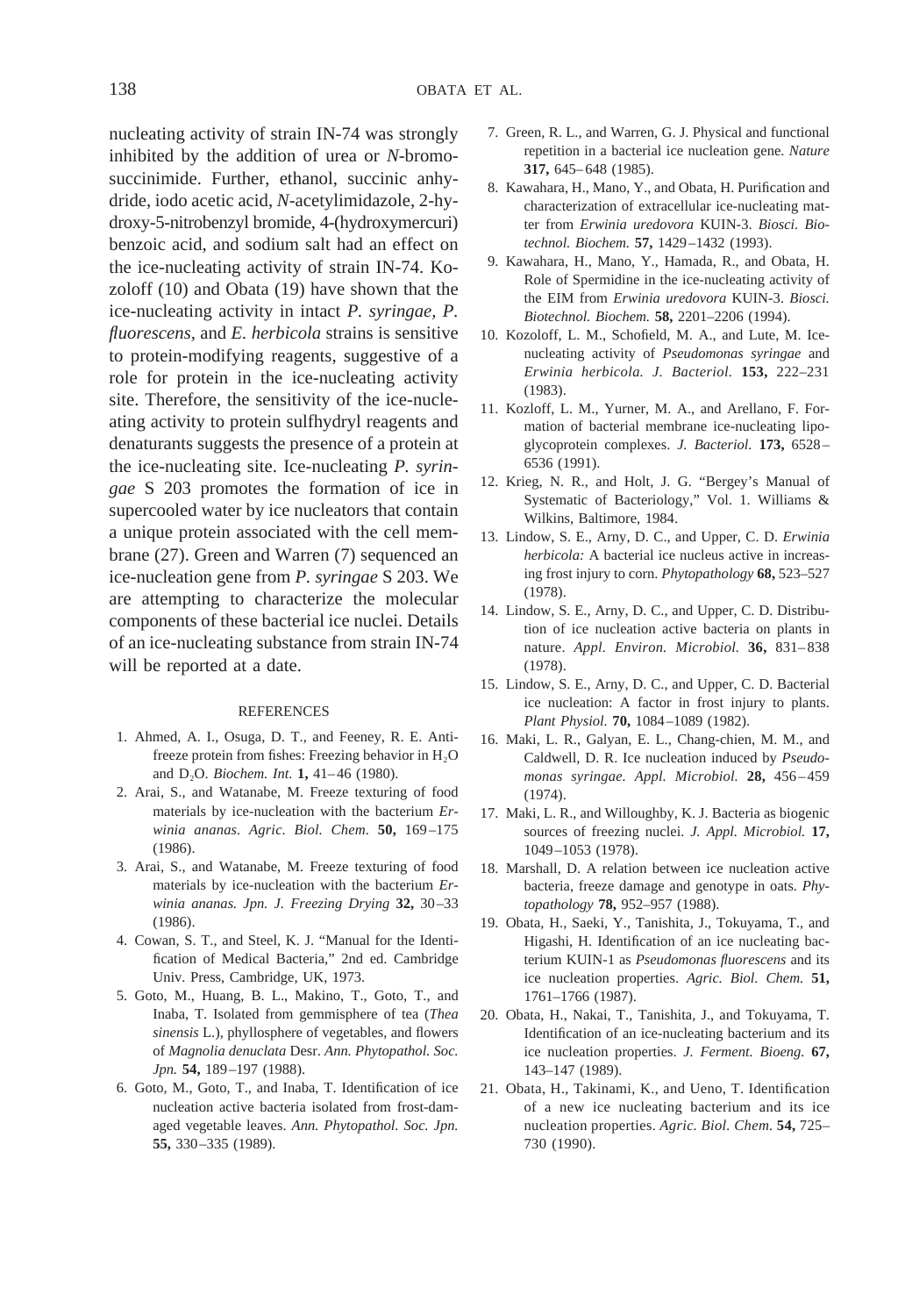nucleating activity of strain IN-74 was strongly inhibited by the addition of urea or *N*-bromosuccinimide. Further, ethanol, succinic anhydride, iodo acetic acid, *N*-acetylimidazole, 2-hydroxy-5-nitrobenzyl bromide, 4-(hydroxymercuri) benzoic acid, and sodium salt had an effect on the ice-nucleating activity of strain IN-74. Kozoloff (10) and Obata (19) have shown that the ice-nucleating activity in intact *P. syringae, P. fluorescens,* and *E. herbicola* strains is sensitive to protein-modifying reagents, suggestive of a role for protein in the ice-nucleating activity site. Therefore, the sensitivity of the ice-nucleating activity to protein sulfhydryl reagents and denaturants suggests the presence of a protein at the ice-nucleating site. Ice-nucleating *P. syringae* S 203 promotes the formation of ice in supercooled water by ice nucleators that contain a unique protein associated with the cell membrane (27). Green and Warren (7) sequenced an ice-nucleation gene from *P. syringae* S 203. We are attempting to characterize the molecular components of these bacterial ice nuclei. Details of an ice-nucleating substance from strain IN-74 will be reported at a date.

#### REFERENCES

- 1. Ahmed, A. I., Osuga, D. T., and Feeney, R. E. Antifreeze protein from fishes: Freezing behavior in  $H_2O$ and D2O. *Biochem. Int.* **1,** 41–46 (1980).
- 2. Arai, S., and Watanabe, M. Freeze texturing of food materials by ice-nucleation with the bacterium *Erwinia ananas. Agric. Biol. Chem.* **50,** 169–175 (1986).
- 3. Arai, S., and Watanabe, M. Freeze texturing of food materials by ice-nucleation with the bacterium *Erwinia ananas. Jpn. J. Freezing Drying* **32,** 30–33 (1986).
- 4. Cowan, S. T., and Steel, K. J. "Manual for the Identification of Medical Bacteria," 2nd ed. Cambridge Univ. Press, Cambridge, UK, 1973.
- 5. Goto, M., Huang, B. L., Makino, T., Goto, T., and Inaba, T. Isolated from gemmisphere of tea (*Thea sinensis* L.), phyllosphere of vegetables, and flowers of *Magnolia denuclata* Desr. *Ann. Phytopathol. Soc. Jpn.* **54,** 189–197 (1988).
- 6. Goto, M., Goto, T., and Inaba, T. Identification of ice nucleation active bacteria isolated from frost-damaged vegetable leaves. *Ann. Phytopathol. Soc. Jpn.* **55,** 330–335 (1989).
- 7. Green, R. L., and Warren, G. J. Physical and functional repetition in a bacterial ice nucleation gene. *Nature* **317,** 645–648 (1985).
- 8. Kawahara, H., Mano, Y., and Obata, H. Purification and characterization of extracellular ice-nucleating matter from *Erwinia uredovora* KUIN-3. *Biosci. Biotechnol. Biochem.* **57,** 1429–1432 (1993).
- 9. Kawahara, H., Mano, Y., Hamada, R., and Obata, H. Role of Spermidine in the ice-nucleating activity of the EIM from *Erwinia uredovora* KUIN-3. *Biosci. Biotechnol. Biochem.* **58,** 2201–2206 (1994).
- 10. Kozoloff, L. M., Schofield, M. A., and Lute, M. Icenucleating activity of *Pseudomonas syringae* and *Erwinia herbicola. J. Bacteriol.* **153,** 222–231 (1983).
- 11. Kozloff, L. M., Yurner, M. A., and Arellano, F. Formation of bacterial membrane ice-nucleating lipoglycoprotein complexes. *J. Bacteriol.* **173,** 6528– 6536 (1991).
- 12. Krieg, N. R., and Holt, J. G. "Bergey's Manual of Systematic of Bacteriology," Vol. 1. Williams & Wilkins, Baltimore, 1984.
- 13. Lindow, S. E., Arny, D. C., and Upper, C. D. *Erwinia herbicola:* A bacterial ice nucleus active in increasing frost injury to corn. *Phytopathology* **68,** 523–527 (1978).
- 14. Lindow, S. E., Arny, D. C., and Upper, C. D. Distribution of ice nucleation active bacteria on plants in nature. *Appl. Environ. Microbiol.* **36,** 831–838 (1978).
- 15. Lindow, S. E., Arny, D. C., and Upper, C. D. Bacterial ice nucleation: A factor in frost injury to plants. *Plant Physiol.* **70,** 1084–1089 (1982).
- 16. Maki, L. R., Galyan, E. L., Chang-chien, M. M., and Caldwell, D. R. Ice nucleation induced by *Pseudomonas syringae. Appl. Microbiol.* **28,** 456–459 (1974).
- 17. Maki, L. R., and Willoughby, K. J. Bacteria as biogenic sources of freezing nuclei. *J. Appl. Microbiol.* **17,** 1049–1053 (1978).
- 18. Marshall, D. A relation between ice nucleation active bacteria, freeze damage and genotype in oats. *Phytopathology* **78,** 952–957 (1988).
- 19. Obata, H., Saeki, Y., Tanishita, J., Tokuyama, T., and Higashi, H. Identification of an ice nucleating bacterium KUIN-1 as *Pseudomonas fluorescens* and its ice nucleation properties. *Agric. Biol. Chem.* **51,** 1761–1766 (1987).
- 20. Obata, H., Nakai, T., Tanishita, J., and Tokuyama, T. Identification of an ice-nucleating bacterium and its ice nucleation properties. *J. Ferment. Bioeng.* **67,** 143–147 (1989).
- 21. Obata, H., Takinami, K., and Ueno, T. Identification of a new ice nucleating bacterium and its ice nucleation properties. *Agric. Biol. Chem.* **54,** 725– 730 (1990).